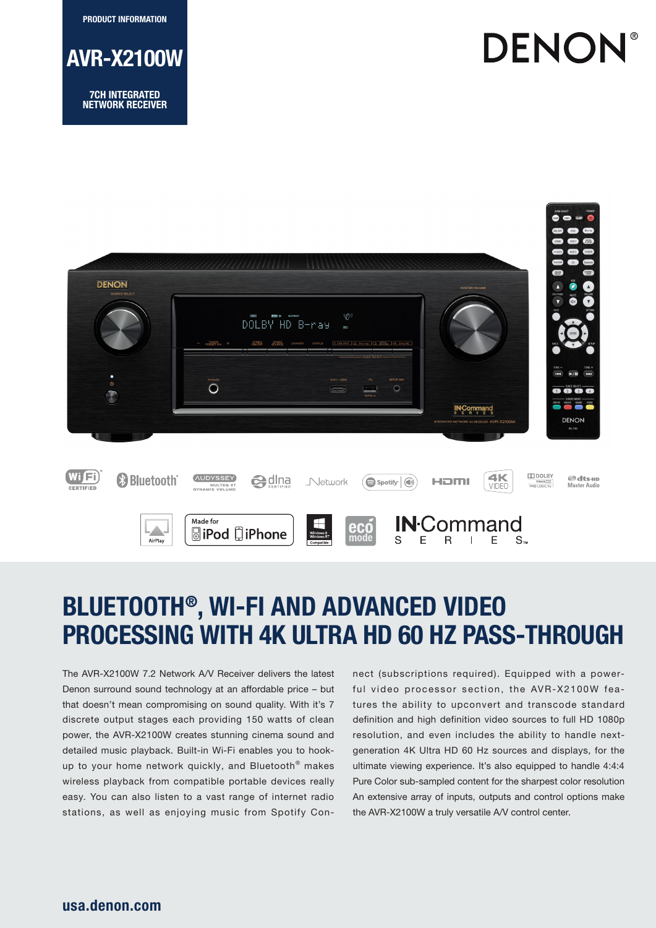PRODUCT INFORMATION



NETWORK RECEIVER





# BLUETOOTH®, WI-FI AND ADVANCED VIDEO PROCESSING WITH 4K ULTRA HD 60 HZ PASS-THROUGH

The AVR-X2100W 7.2 Network A/V Receiver delivers the latest Denon surround sound technology at an affordable price – but that doesn't mean compromising on sound quality. With it's 7 discrete output stages each providing 150 watts of clean power, the AVR-X2100W creates stunning cinema sound and detailed music playback. Built-in Wi-Fi enables you to hookup to your home network quickly, and Bluetooth® makes wireless playback from compatible portable devices really easy. You can also listen to a vast range of internet radio stations, as well as enjoying music from Spotify Connect (subscriptions required). Equipped with a powerful video processor section, the AVR-X2100W features the ability to upconvert and transcode standard definition and high definition video sources to full HD 1080p resolution, and even includes the ability to handle nextgeneration 4K Ultra HD 60 Hz sources and displays, for the ultimate viewing experience. It's also equipped to handle 4:4:4 Pure Color sub-sampled content for the sharpest color resolution An extensive array of inputs, outputs and control options make the AVR-X2100W a truly versatile A/V control center.